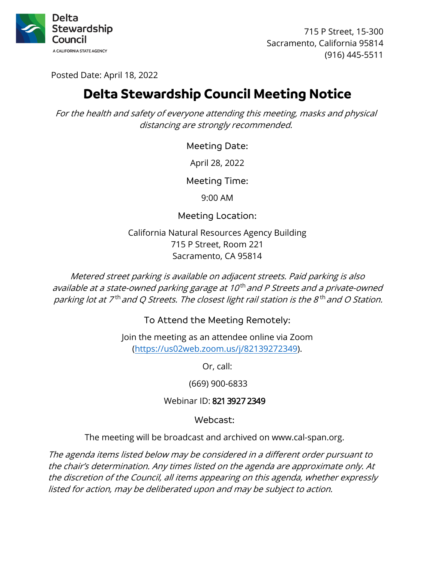

715 P Street, 15-300 Sacramento, California 95814 (916) 445-5511

Posted Date: April 18, 2022

# **Delta Stewardship Council Meeting Notice**

For the health and safety of everyone attending this meeting, masks and physical distancing are strongly recommended.

Meeting Date:

April 28, 2022

Meeting Time:

9:00 AM

Meeting Location:

California Natural Resources Agency Building 715 P Street, Room 221 Sacramento, CA 95814

parking lot at 7<sup>th</sup> and Q Streets. The closest light rail station is the 8<sup>th</sup> and O Station. Metered street parking is available on adjacent streets. Paid parking is also available at a state-owned parking garage at 10<sup>th</sup> and P Streets and a private-owned

To Attend the Meeting Remotely:

Join the meeting as an attendee online via Zoom ([https://us02web.zoom.us/j/82139272349\)](https://us02web.zoom.us/j/82139272349).

Or, call:

(669) 900-6833

Webinar ID: 821 3927 2349

Webcast:

The meeting will be broadcast and archived on www.cal-span.org.

 the discretion of the Council, all items appearing on this agenda, whether expressly The agenda items listed below may be considered in a different order pursuant to the chair's determination. Any times listed on the agenda are approximate only. At listed for action, may be deliberated upon and may be subject to action.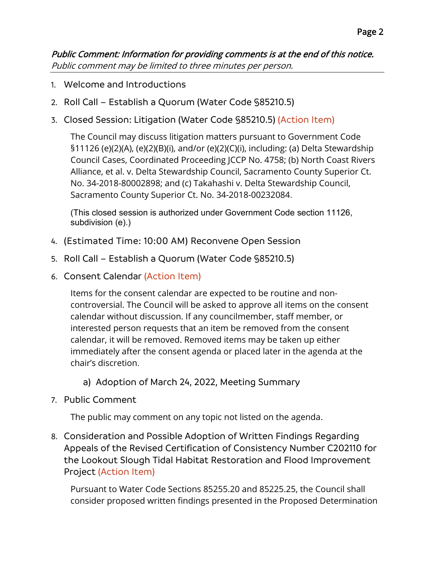Public Comment: Information for providing comments is at the end of this notice. Public comment may be limited to three minutes per person.

- 1. Welcome and Introductions
- 2. Roll Call Establish a Quorum (Water Code §85210.5)
- 3. Closed Session: Litigation (Water Code §85210.5) (Action Item)

The Council may discuss litigation matters pursuant to Government Code §11126 (e)(2)(A), (e)(2)(B)(i), and/or (e)(2)(C)(i), including: (a) Delta Stewardship Council Cases, Coordinated Proceeding JCCP No. 4758; (b) North Coast Rivers Alliance, et al. v. Delta Stewardship Council, Sacramento County Superior Ct. No. 34-2018-80002898; and (c) Takahashi v. Delta Stewardship Council, Sacramento County Superior Ct. No. 34-2018-00232084.

(This closed session is authorized under Government Code section 11126, subdivision (e).)

- 4. (Estimated Time: 10:00 AM) Reconvene Open Session
- 5. Roll Call Establish a Quorum (Water Code §85210.5)
- 6. Consent Calendar (Action Item)

Items for the consent calendar are expected to be routine and noncontroversial. The Council will be asked to approve all items on the consent calendar without discussion. If any councilmember, staff member, or interested person requests that an item be removed from the consent calendar, it will be removed. Removed items may be taken up either immediately after the consent agenda or placed later in the agenda at the chair's discretion.

- a) Adoption of March 24, 2022, Meeting Summary
- 7. Public Comment

The public may comment on any topic not listed on the agenda.

8. Consideration and Possible Adoption of Written Findings Regarding Appeals of the Revised Certification of Consistency Number C202110 for the Lookout Slough Tidal Habitat Restoration and Flood Improvement Project (Action Item)

 Pursuant to Water Code Sections [85255.20](https://85255.20) and [85225.25](https://85225.25), the Council shall consider proposed written findings presented in the Proposed Determination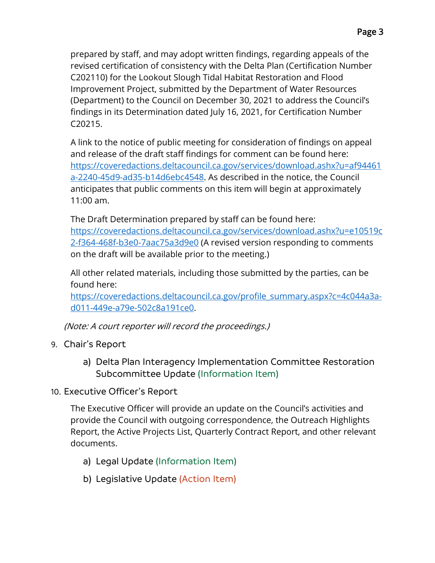$C20215.$ prepared by staff, and may adopt written findings, regarding appeals of the revised certification of consistency with the Delta Plan (Certification Number C202110) for the Lookout Slough Tidal Habitat Restoration and Flood Improvement Project, submitted by the Department of Water Resources (Department) to the Council on December 30, 2021 to address the Council's findings in its Determination dated July 16, 2021, for Certification Number

C20215.<br>A link to the notice of public meeting for consideration of findings on appeal a-2240-45d9-ad35-b14d6ebc4548. As described in the notice, the Council and release of the draft staff findings for comment can be found here: [https://coveredactions.deltacouncil.ca.gov/services/download.ashx?u=af94461](https://coveredactions.deltacouncil.ca.gov/services/download.ashx?u=af94461a-2240-45d9-ad35-b14d6ebc4548)  anticipates that public comments on this item will begin at approximately 11:00 am.

 2-f364-468f-b3e0-7aac75a3d9e0 (A revised version responding to comments The Draft Determination prepared by staff can be found here: [https://coveredactions.deltacouncil.ca.gov/services/download.ashx?u=e10519c](https://coveredactions.deltacouncil.ca.gov/services/download.ashx?u=e10519c2-f364-468f-b3e0-7aac75a3d9e0)  on the draft will be available prior to the meeting.)

All other related materials, including those submitted by the parties, can be found here:

 d011-449e-a79e-502c8a191ce0. [https://coveredactions.deltacouncil.ca.gov/profile\\_summary.aspx?c=4c044a3a-](https://coveredactions.deltacouncil.ca.gov/profile_summary.aspx?c=4c044a3a-d011-449e-a79e-502c8a191ce0)

(Note: A court reporter will record the proceedings.)

- 9. Chair's Report
	- a) Delta Plan Interagency Implementation Committee Restoration Subcommittee Update (Information Item)
- 10. Executive Officer's Report

The Executive Officer will provide an update on the Council's activities and provide the Council with outgoing correspondence, the Outreach Highlights Report, the Active Projects List, Quarterly Contract Report, and other relevant documents.

- a) Legal Update (Information Item)
- b) Legislative Update (Action Item)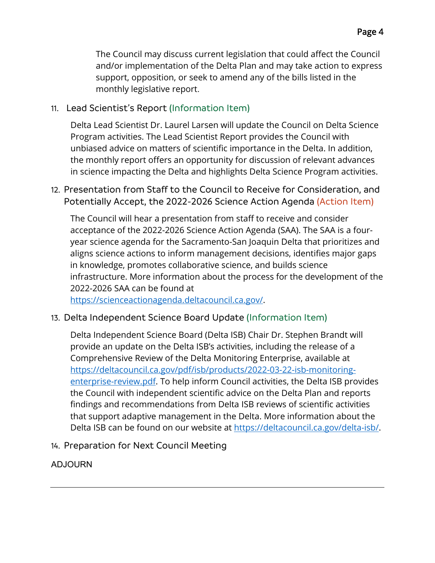The Council may discuss current legislation that could affect the Council and/or implementation of the Delta Plan and may take action to express support, opposition, or seek to amend any of the bills listed in the monthly legislative report.

# 11. Lead Scientist's Report (Information Item)

Delta Lead Scientist Dr. Laurel Larsen will update the Council on Delta Science Program activities. The Lead Scientist Report provides the Council with unbiased advice on matters of scientific importance in the Delta. In addition, the monthly report offers an opportunity for discussion of relevant advances in science impacting the Delta and highlights Delta Science Program activities.

# 12. Presentation from Staff to the Council to Receive for Consideration, and Potentially Accept, the 2022-2026 Science Action Agenda (Action Item)

The Council will hear a presentation from staff to receive and consider acceptance of the 2022-2026 Science Action Agenda (SAA). The SAA is a fouryear science agenda for the Sacramento-San Joaquin Delta that prioritizes and aligns science actions to inform management decisions, identifies major gaps in knowledge, promotes collaborative science, and builds science infrastructure. More information about the process for the development of the 2022-2026 SAA can be found at

[https://scienceactionagenda.deltacouncil.ca.gov/](https://scienceactionagenda.deltacouncil.ca.gov).

### 13. Delta Independent Science Board Update (Information Item)

 provide an update on the Delta ISB's activities, including the release of a Delta Independent Science Board (Delta ISB) Chair Dr. Stephen Brandt will Comprehensive Review of the Delta Monitoring Enterprise, available at [https://deltacouncil.ca.gov/pdf/isb/products/2022-03-22-isb-monitoring](https://deltacouncil.ca.gov/pdf/isb/products/2022-03-22-isb-monitoring-enterprise-review.pdf)enterprise-review.pdf. To help inform Council activities, the Delta ISB provides the Council with independent scientific advice on the Delta Plan and reports findings and recommendations from Delta ISB reviews of scientific activities that support adaptive management in the Delta. More information about the Delta ISB can be found on our website at [https://deltacouncil.ca.gov/delta-isb/](https://deltacouncil.ca.gov/delta-isb).

14. Preparation for Next Council Meeting

### ADJOURN